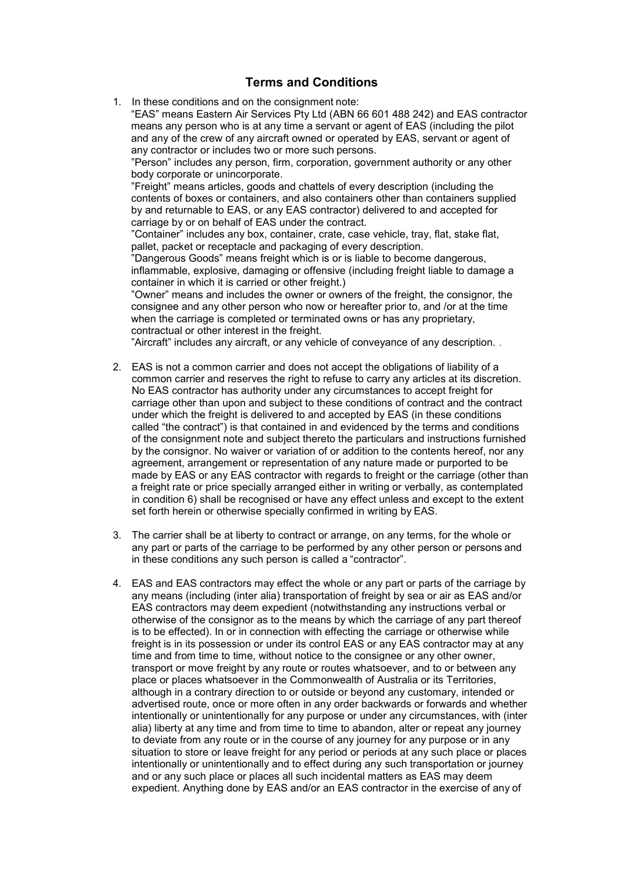## **Terms and Conditions**

1. In these conditions and on the consignment note:

"EAS" means Eastern Air Services Pty Ltd (ABN 66 601 488 242) and EAS contractor means any person who is at any time a servant or agent of EAS (including the pilot and any of the crew of any aircraft owned or operated by EAS, servant or agent of any contractor or includes two or more such persons.

"Person" includes any person, firm, corporation, government authority or any other body corporate or unincorporate.

"Freight" means articles, goods and chattels of every description (including the contents of boxes or containers, and also containers other than containers supplied by and returnable to EAS, or any EAS contractor) delivered to and accepted for carriage by or on behalf of EAS under the contract.

"Container" includes any box, container, crate, case vehicle, tray, flat, stake flat, pallet, packet or receptacle and packaging of every description.

"Dangerous Goods" means freight which is or is liable to become dangerous, inflammable, explosive, damaging or offensive (including freight liable to damage a container in which it is carried or other freight.)

"Owner" means and includes the owner or owners of the freight, the consignor, the consignee and any other person who now or hereafter prior to, and /or at the time when the carriage is completed or terminated owns or has any proprietary, contractual or other interest in the freight.

"Aircraft" includes any aircraft, or any vehicle of conveyance of any description. .

- 2. EAS is not a common carrier and does not accept the obligations of liability of a common carrier and reserves the right to refuse to carry any articles at its discretion. No EAS contractor has authority under any circumstances to accept freight for carriage other than upon and subject to these conditions of contract and the contract under which the freight is delivered to and accepted by EAS (in these conditions called "the contract") is that contained in and evidenced by the terms and conditions of the consignment note and subject thereto the particulars and instructions furnished by the consignor. No waiver or variation of or addition to the contents hereof, nor any agreement, arrangement or representation of any nature made or purported to be made by EAS or any EAS contractor with regards to freight or the carriage (other than a freight rate or price specially arranged either in writing or verbally, as contemplated in condition 6) shall be recognised or have any effect unless and except to the extent set forth herein or otherwise specially confirmed in writing by EAS.
- 3. The carrier shall be at liberty to contract or arrange, on any terms, for the whole or any part or parts of the carriage to be performed by any other person or persons and in these conditions any such person is called a "contractor".
- 4. EAS and EAS contractors may effect the whole or any part or parts of the carriage by any means (including (inter alia) transportation of freight by sea or air as EAS and/or EAS contractors may deem expedient (notwithstanding any instructions verbal or otherwise of the consignor as to the means by which the carriage of any part thereof is to be effected). In or in connection with effecting the carriage or otherwise while freight is in its possession or under its control EAS or any EAS contractor may at any time and from time to time, without notice to the consignee or any other owner, transport or move freight by any route or routes whatsoever, and to or between any place or places whatsoever in the Commonwealth of Australia or its Territories, although in a contrary direction to or outside or beyond any customary, intended or advertised route, once or more often in any order backwards or forwards and whether intentionally or unintentionally for any purpose or under any circumstances, with (inter alia) liberty at any time and from time to time to abandon, alter or repeat any journey to deviate from any route or in the course of any journey for any purpose or in any situation to store or leave freight for any period or periods at any such place or places intentionally or unintentionally and to effect during any such transportation or journey and or any such place or places all such incidental matters as EAS may deem expedient. Anything done by EAS and/or an EAS contractor in the exercise of any of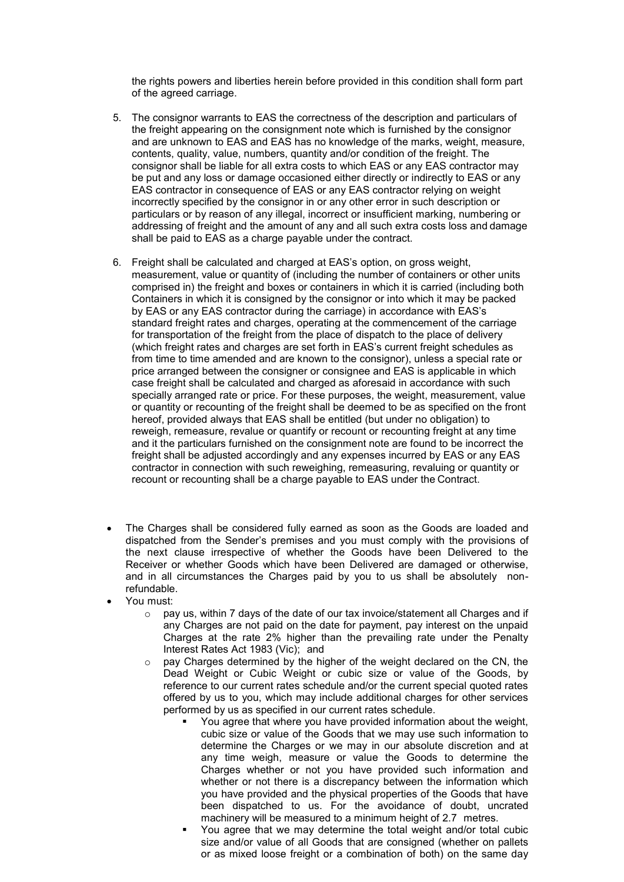the rights powers and liberties herein before provided in this condition shall form part of the agreed carriage.

- 5. The consignor warrants to EAS the correctness of the description and particulars of the freight appearing on the consignment note which is furnished by the consignor and are unknown to EAS and EAS has no knowledge of the marks, weight, measure, contents, quality, value, numbers, quantity and/or condition of the freight. The consignor shall be liable for all extra costs to which EAS or any EAS contractor may be put and any loss or damage occasioned either directly or indirectly to EAS or any EAS contractor in consequence of EAS or any EAS contractor relying on weight incorrectly specified by the consignor in or any other error in such description or particulars or by reason of any illegal, incorrect or insufficient marking, numbering or addressing of freight and the amount of any and all such extra costs loss and damage shall be paid to EAS as a charge payable under the contract.
- 6. Freight shall be calculated and charged at EAS's option, on gross weight, measurement, value or quantity of (including the number of containers or other units comprised in) the freight and boxes or containers in which it is carried (including both Containers in which it is consigned by the consignor or into which it may be packed by EAS or any EAS contractor during the carriage) in accordance with EAS's standard freight rates and charges, operating at the commencement of the carriage for transportation of the freight from the place of dispatch to the place of delivery (which freight rates and charges are set forth in EAS's current freight schedules as from time to time amended and are known to the consignor), unless a special rate or price arranged between the consigner or consignee and EAS is applicable in which case freight shall be calculated and charged as aforesaid in accordance with such specially arranged rate or price. For these purposes, the weight, measurement, value or quantity or recounting of the freight shall be deemed to be as specified on the front hereof, provided always that EAS shall be entitled (but under no obligation) to reweigh, remeasure, revalue or quantify or recount or recounting freight at any time and it the particulars furnished on the consignment note are found to be incorrect the freight shall be adjusted accordingly and any expenses incurred by EAS or any EAS contractor in connection with such reweighing, remeasuring, revaluing or quantity or recount or recounting shall be a charge payable to EAS under the Contract.
- The Charges shall be considered fully earned as soon as the Goods are loaded and dispatched from the Sender's premises and you must comply with the provisions of the next clause irrespective of whether the Goods have been Delivered to the Receiver or whether Goods which have been Delivered are damaged or otherwise, and in all circumstances the Charges paid by you to us shall be absolutely nonrefundable.
- You must:
	- $\circ$  pay us, within 7 days of the date of our tax invoice/statement all Charges and if any Charges are not paid on the date for payment, pay interest on the unpaid Charges at the rate 2% higher than the prevailing rate under the Penalty Interest Rates Act 1983 (Vic); and
	- $\circ$  pay Charges determined by the higher of the weight declared on the CN, the Dead Weight or Cubic Weight or cubic size or value of the Goods, by reference to our current rates schedule and/or the current special quoted rates offered by us to you, which may include additional charges for other services performed by us as specified in our current rates schedule.
		- You agree that where you have provided information about the weight, cubic size or value of the Goods that we may use such information to determine the Charges or we may in our absolute discretion and at any time weigh, measure or value the Goods to determine the Charges whether or not you have provided such information and whether or not there is a discrepancy between the information which you have provided and the physical properties of the Goods that have been dispatched to us. For the avoidance of doubt, uncrated machinery will be measured to a minimum height of 2.7 metres.
		- You agree that we may determine the total weight and/or total cubic size and/or value of all Goods that are consigned (whether on pallets or as mixed loose freight or a combination of both) on the same day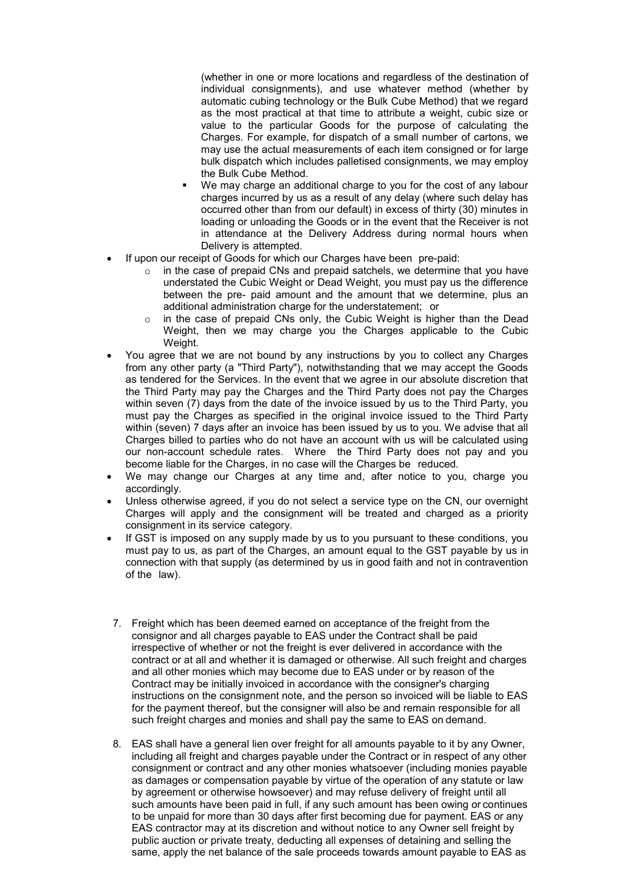(whether in one or more locations and regardless of the destination of individual consignments), and use whatever method (whether by automatic cubing technology or the Bulk Cube Method) that we regard as the most practical at that time to attribute a weight, cubic size or value to the particular Goods for the purpose of calculating the Charges. For example, for dispatch of a small number of cartons, we may use the actual measurements of each item consigned or for large bulk dispatch which includes palletised consignments, we may employ the Bulk Cube Method.

- We may charge an additional charge to you for the cost of any labour charges incurred by us as a result of any delay (where such delay has occurred other than from our default) in excess of thirty (30) minutes in loading or unloading the Goods or in the event that the Receiver is not in attendance at the Delivery Address during normal hours when Delivery is attempted.
- If upon our receipt of Goods for which our Charges have been pre-paid:
	- o in the case of prepaid CNs and prepaid satchels, we determine that you have understated the Cubic Weight or Dead Weight, you must pay us the difference between the pre- paid amount and the amount that we determine, plus an additional administration charge for the understatement; or
	- o in the case of prepaid CNs only, the Cubic Weight is higher than the Dead Weight, then we may charge you the Charges applicable to the Cubic Weight.
- You agree that we are not bound by any instructions by you to collect any Charges from any other party (a "Third Party"), notwithstanding that we may accept the Goods as tendered for the Services. In the event that we agree in our absolute discretion that the Third Party may pay the Charges and the Third Party does not pay the Charges within seven (7) days from the date of the invoice issued by us to the Third Party, you must pay the Charges as specified in the original invoice issued to the Third Party within (seven) 7 days after an invoice has been issued by us to you. We advise that all Charges billed to parties who do not have an account with us will be calculated using our non-account schedule rates. Where the Third Party does not pay and you become liable for the Charges, in no case will the Charges be reduced.
- We may change our Charges at any time and, after notice to you, charge you accordingly.
- Unless otherwise agreed, if you do not select a service type on the CN, our overnight Charges will apply and the consignment will be treated and charged as a priority consignment in its service category.
- If GST is imposed on any supply made by us to you pursuant to these conditions, you must pay to us, as part of the Charges, an amount equal to the GST payable by us in connection with that supply (as determined by us in good faith and not in contravention of the law).
- 7. Freight which has been deemed earned on acceptance of the freight from the consignor and all charges payable to EAS under the Contract shall be paid irrespective of whether or not the freight is ever delivered in accordance with the contract or at all and whether it is damaged or otherwise. All such freight and charges and all other monies which may become due to EAS under or by reason of the Contract may be initially invoiced in accordance with the consigner's charging instructions on the consignment note, and the person so invoiced will be liable to EAS for the payment thereof, but the consigner will also be and remain responsible for all such freight charges and monies and shall pay the same to EAS on demand.
- 8. EAS shall have a general lien over freight for all amounts payable to it by any Owner, including all freight and charges payable under the Contract or in respect of any other consignment or contract and any other monies whatsoever (including monies payable as damages or compensation payable by virtue of the operation of any statute or law by agreement or otherwise howsoever) and may refuse delivery of freight until all such amounts have been paid in full, if any such amount has been owing or continues to be unpaid for more than 30 days after first becoming due for payment. EAS or any EAS contractor may at its discretion and without notice to any Owner sell freight by public auction or private treaty, deducting all expenses of detaining and selling the same, apply the net balance of the sale proceeds towards amount payable to EAS as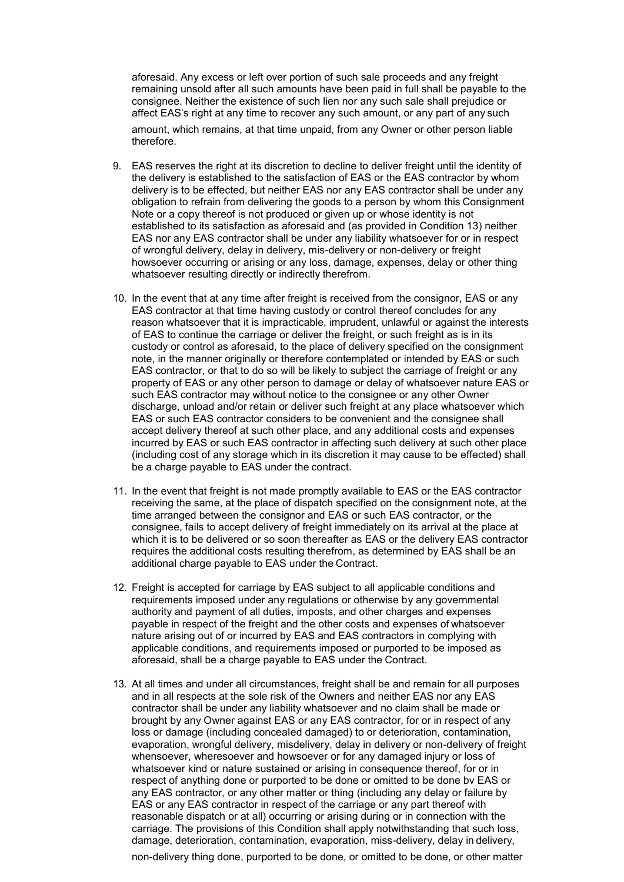aforesaid. Any excess or left over portion of such sale proceeds and any freight remaining unsold after all such amounts have been paid in full shall be payable to the consignee. Neither the existence of such lien nor any such sale shall prejudice or affect EAS's right at any time to recover any such amount, or any part of any such amount, which remains, at that time unpaid, from any Owner or other person liable therefore.

- 9. EAS reserves the right at its discretion to decline to deliver freight until the identity of the delivery is established to the satisfaction of EAS or the EAS contractor by whom delivery is to be effected, but neither EAS nor any EAS contractor shall be under any obligation to refrain from delivering the goods to a person by whom this Consignment Note or a copy thereof is not produced or given up or whose identity is not established to its satisfaction as aforesaid and (as provided in Condition 13) neither EAS nor any EAS contractor shall be under any liability whatsoever for or in respect of wrongful delivery, delay in delivery, mis-delivery or non-delivery or freight howsoever occurring or arising or any loss, damage, expenses, delay or other thing whatsoever resulting directly or indirectly therefrom.
- 10. In the event that at any time after freight is received from the consignor, EAS or any EAS contractor at that time having custody or control thereof concludes for any reason whatsoever that it is impracticable, imprudent, unlawful or against the interests of EAS to continue the carriage or deliver the freight, or such freight as is in its custody or control as aforesaid, to the place of delivery specified on the consignment note, in the manner originally or therefore contemplated or intended by EAS or such EAS contractor, or that to do so will be likely to subject the carriage of freight or any property of EAS or any other person to damage or delay of whatsoever nature EAS or such EAS contractor may without notice to the consignee or any other Owner discharge, unload and/or retain or deliver such freight at any place whatsoever which EAS or such EAS contractor considers to be convenient and the consignee shall accept delivery thereof at such other place, and any additional costs and expenses incurred by EAS or such EAS contractor in affecting such delivery at such other place (including cost of any storage which in its discretion it may cause to be effected) shall be a charge payable to EAS under the contract.
- 11. In the event that freight is not made promptly available to EAS or the EAS contractor receiving the same, at the place of dispatch specified on the consignment note, at the time arranged between the consignor and EAS or such EAS contractor, or the consignee, fails to accept delivery of freight immediately on its arrival at the place at which it is to be delivered or so soon thereafter as EAS or the delivery EAS contractor requires the additional costs resulting therefrom, as determined by EAS shall be an additional charge payable to EAS under the Contract.
- 12. Freight is accepted for carriage by EAS subject to all applicable conditions and requirements imposed under any regulations or otherwise by any governmental authority and payment of all duties, imposts, and other charges and expenses payable in respect of the freight and the other costs and expenses of whatsoever nature arising out of or incurred by EAS and EAS contractors in complying with applicable conditions, and requirements imposed or purported to be imposed as aforesaid, shall be a charge payable to EAS under the Contract.
- 13. At all times and under all circumstances, freight shall be and remain for all purposes and in all respects at the sole risk of the Owners and neither EAS nor any EAS contractor shall be under any liability whatsoever and no claim shall be made or brought by any Owner against EAS or any EAS contractor, for or in respect of any loss or damage (including concealed damaged) to or deterioration, contamination, evaporation, wrongful deIivery, misdelivery, delay in delivery or non-delivery of freight whensoever, wheresoever and howsoever or for any damaged injury or loss of whatsoever kind or nature sustained or arising in consequence thereof, for or in respect of anything done or purported to be done or omitted to be done bv EAS or any EAS contractor, or any other matter or thing (including any delay or failure by EAS or any EAS contractor in respect of the carriage or any part thereof with reasonable dispatch or at all) occurring or arising during or in connection with the carriage. The provisions of this Condition shall apply notwithstanding that such loss, damage, deterioration, contamination, evaporation, miss-delivery, delay in delivery,

non-delivery thing done, purported to be done, or omitted to be done, or other matter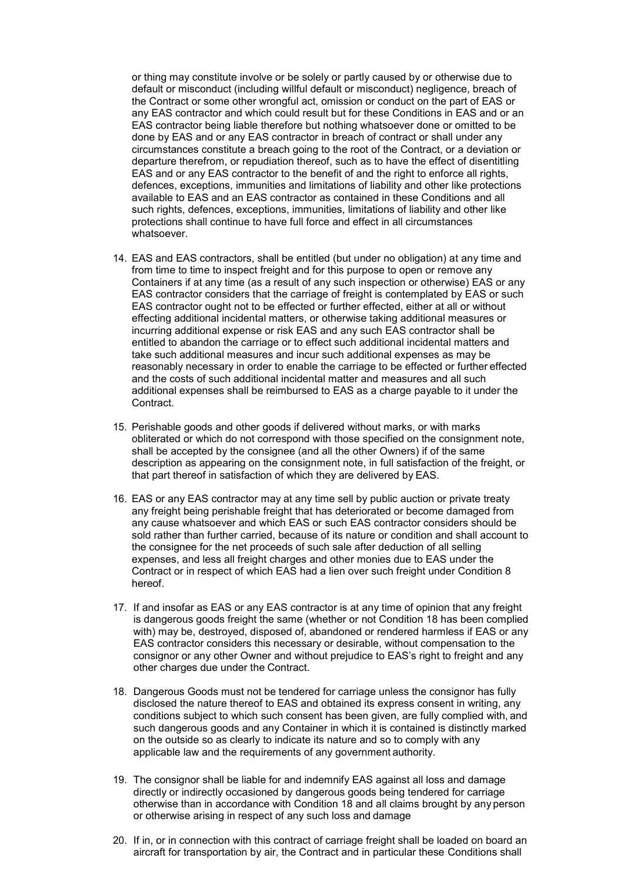or thing may constitute involve or be solely or partly caused by or otherwise due to default or misconduct (including willful default or misconduct) negligence, breach of the Contract or some other wrongful act, omission or conduct on the part of EAS or any EAS contractor and which could result but for these Conditions in EAS and or an EAS contractor being liable therefore but nothing whatsoever done or omitted to be done by EAS and or any EAS contractor in breach of contract or shall under any circumstances constitute a breach going to the root of the Contract, or a deviation or departure therefrom, or repudiation thereof, such as to have the effect of disentitling EAS and or any EAS contractor to the benefit of and the right to enforce all rights, defences, exceptions, immunities and limitations of liability and other like protections available to EAS and an EAS contractor as contained in these Conditions and all such rights, defences, exceptions, immunities, limitations of liability and other like protections shall continue to have full force and effect in all circumstances whatsoever.

- 14. EAS and EAS contractors, shall be entitled (but under no obligation) at any time and from time to time to inspect freight and for this purpose to open or remove any Containers if at any time (as a result of any such inspection or otherwise) EAS or any EAS contractor considers that the carriage of freight is contemplated by EAS or such EAS contractor ought not to be effected or further effected, either at all or without effecting additional incidental matters, or otherwise taking additional measures or incurring additional expense or risk EAS and any such EAS contractor shall be entitled to abandon the carriage or to effect such additional incidental matters and take such additional measures and incur such additional expenses as may be reasonably necessary in order to enable the carriage to be effected or further effected and the costs of such additional incidental matter and measures and all such additional expenses shall be reimbursed to EAS as a charge payable to it under the Contract.
- 15. Perishable goods and other goods if delivered without marks, or with marks obliterated or which do not correspond with those specified on the consignment note, shall be accepted by the consignee (and all the other Owners) if of the same description as appearing on the consignment note, in full satisfaction of the freight, or that part thereof in satisfaction of which they are delivered by EAS.
- 16. EAS or any EAS contractor may at any time sell by public auction or private treaty any freight being perishable freight that has deteriorated or become damaged from any cause whatsoever and which EAS or such EAS contractor considers should be sold rather than further carried, because of its nature or condition and shall account to the consignee for the net proceeds of such sale after deduction of all selling expenses, and less all freight charges and other monies due to EAS under the Contract or in respect of which EAS had a lien over such freight under Condition 8 hereof.
- 17. If and insofar as EAS or any EAS contractor is at any time of opinion that any freight is dangerous goods freight the same (whether or not Condition 18 has been complied with) may be, destroyed, disposed of, abandoned or rendered harmless if EAS or any EAS contractor considers this necessary or desirable, without compensation to the consignor or any other Owner and without prejudice to EAS's right to freight and any other charges due under the Contract.
- 18. Dangerous Goods must not be tendered for carriage unless the consignor has fully disclosed the nature thereof to EAS and obtained its express consent in writing, any conditions subject to which such consent has been given, are fully complied with, and such dangerous goods and any Container in which it is contained is distinctly marked on the outside so as clearly to indicate its nature and so to comply with any applicable law and the requirements of any government authority.
- 19. The consignor shall be liable for and indemnify EAS against all loss and damage directly or indirectly occasioned by dangerous goods being tendered for carriage otherwise than in accordance with Condition 18 and all claims brought by any person or otherwise arising in respect of any such loss and damage
- 20. If in, or in connection with this contract of carriage freight shall be loaded on board an aircraft for transportation by air, the Contract and in particular these Conditions shall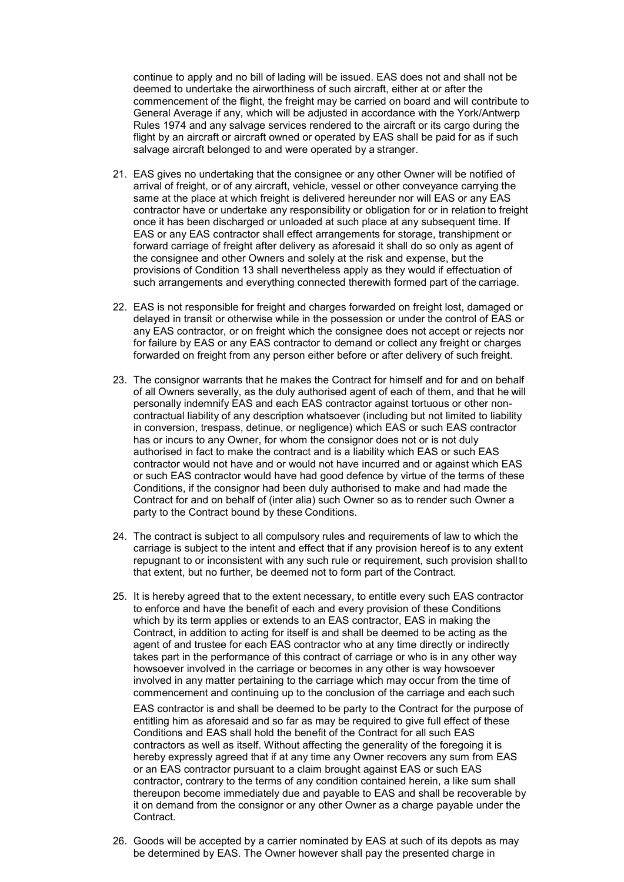continue to apply and no bill of lading will be issued. EAS does not and shall not be deemed to undertake the airworthiness of such aircraft, either at or after the commencement of the flight, the freight may be carried on board and will contribute to General Average if any, which will be adjusted in accordance with the York/Antwerp Rules 1974 and any salvage services rendered to the aircraft or its cargo during the flight by an aircraft or aircraft owned or operated by EAS shall be paid for as if such salvage aircraft belonged to and were operated by a stranger.

- 21. EAS gives no undertaking that the consignee or any other Owner will be notified of arrival of freight, or of any aircraft, vehicle, vessel or other conveyance carrying the same at the place at which freight is delivered hereunder nor will EAS or any EAS contractor have or undertake any responsibility or obligation for or in relation to freight once it has been discharged or unloaded at such place at any subsequent time. If EAS or any EAS contractor shall effect arrangements for storage, transhipment or forward carriage of freight after delivery as aforesaid it shall do so only as agent of the consignee and other Owners and solely at the risk and expense, but the provisions of Condition 13 shall nevertheless apply as they would if effectuation of such arrangements and everything connected therewith formed part of the carriage.
- 22. EAS is not responsible for freight and charges forwarded on freight lost, damaged or delayed in transit or otherwise while in the possession or under the control of EAS or any EAS contractor, or on freight which the consignee does not accept or rejects nor for failure by EAS or any EAS contractor to demand or collect any freight or charges forwarded on freight from any person either before or after delivery of such freight.
- 23. The consignor warrants that he makes the Contract for himself and for and on behalf of all Owners severally, as the duly authorised agent of each of them, and that he will personally indemnify EAS and each EAS contractor against tortuous or other noncontractual liability of any description whatsoever (including but not limited to liability in conversion, trespass, detinue, or negligence) which EAS or such EAS contractor has or incurs to any Owner, for whom the consignor does not or is not duly authorised in fact to make the contract and is a liability which EAS or such EAS contractor would not have and or would not have incurred and or against which EAS or such EAS contractor would have had good defence by virtue of the terms of these Conditions, if the consignor had been duly authorised to make and had made the Contract for and on behalf of (inter alia) such Owner so as to render such Owner a party to the Contract bound by these Conditions.
- 24. The contract is subject to all compulsory rules and requirements of law to which the carriage is subject to the intent and effect that if any provision hereof is to any extent repugnant to or inconsistent with any such rule or requirement, such provision shallto that extent, but no further, be deemed not to form part of the Contract.
- 25. It is hereby agreed that to the extent necessary, to entitle every such EAS contractor to enforce and have the benefit of each and every provision of these Conditions which by its term applies or extends to an EAS contractor, EAS in making the Contract, in addition to acting for itself is and shall be deemed to be acting as the agent of and trustee for each EAS contractor who at any time directly or indirectly takes part in the performance of this contract of carriage or who is in any other way howsoever involved in the carriage or becomes in any other is way howsoever involved in any matter pertaining to the carriage which may occur from the time of commencement and continuing up to the conclusion of the carriage and each such

EAS contractor is and shall be deemed to be party to the Contract for the purpose of entitling him as aforesaid and so far as may be required to give full effect of these Conditions and EAS shall hold the benefit of the Contract for all such EAS contractors as well as itself. Without affecting the generality of the foregoing it is hereby expressly agreed that if at any time any Owner recovers any sum from EAS or an EAS contractor pursuant to a claim brought against EAS or such EAS contractor, contrary to the terms of any condition contained herein, a like sum shall thereupon become immediately due and payable to EAS and shall be recoverable by it on demand from the consignor or any other Owner as a charge payable under the Contract.

26. Goods will be accepted by a carrier nominated by EAS at such of its depots as may be determined by EAS. The Owner however shall pay the presented charge in